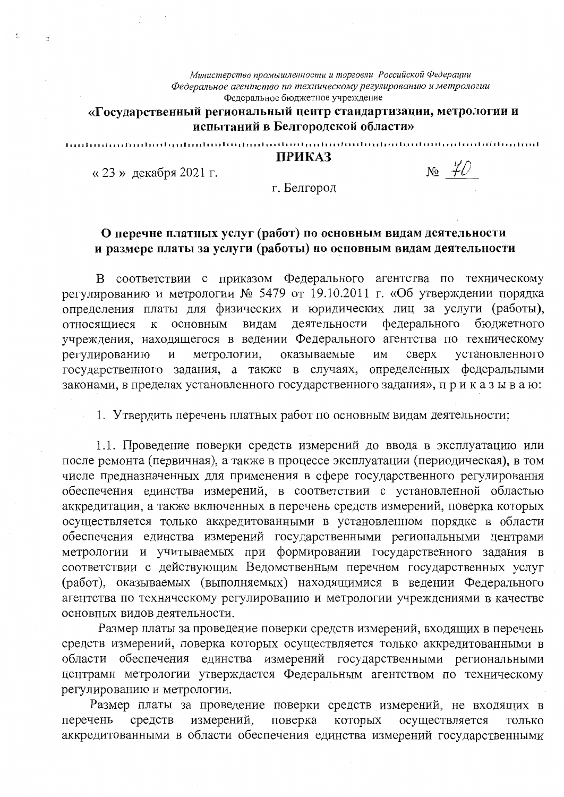Министерство промышленности и торговли Российской Федерации Федеральное агентство по техническому регулированию и метрологии Федеральное бюджетное учреждение

## «Государственный региональный центр стандартизации, метрологии и испытаний в Белгородской области»

## **ПРИКАЗ**

utouti

«23» декабря 2021 г.

 $N_2$   $\neq$  0

г. Белгород

## О перечне платных услуг (работ) по основным видам деятельности и размере платы за услуги (работы) по основным видам деятельности

В соответствии с приказом Федерального агентства по техническому регулированию и метрологии № 5479 от 19.10.2011 г. «Об утверждении порядка определения платы для физических и юридических лиц за услуги (работы), видам деятельности федерального относящиеся  $\overline{\mathrm{K}}$ основным бюджетного учреждения, находящегося в ведении Федерального агентства по техническому метрологии, регулированию  $\,$  M оказываемые ИМ сверх установленного государственного задания, а также в случаях, определенных федеральными законами, в пределах установленного государственного задания», приказываю:

1. Утвердить перечень платных работ по основным видам деятельности:

1.1. Проведение поверки средств измерений до ввода в эксплуатацию или после ремонта (первичная), а также в процессе эксплуатации (периодическая), в том числе предназначенных для применения в сфере государственного регулирования обеспечения единства измерений, в соответствии с установленной областью аккредитации, а также включенных в перечень средств измерений, поверка которых осуществляется только аккредитованными в установленном порядке в области обеспечения единства измерений государственными региональными центрами метрологии и учитываемых при формировании государственного задания в соответствии с действующим Ведомственным перечнем государственных услуг (работ), оказываемых (выполняемых) находящимися в ведении Федерального агентства по техническому регулированию и метрологии учреждениями в качестве основных видов деятельности.

Размер платы за проведение поверки средств измерений, входящих в перечень средств измерений, поверка которых осуществляется только аккредитованными в области обеспечения единства измерений государственными региональными центрами метрологии утверждается Федеральным агентством по техническому регулированию и метрологии.

Размер платы за проведение поверки средств измерений, не входящих в измерений, перечень средств поверка которых осуществляется ТОЛЬКО аккредитованными в области обеспечения единства измерений государственными